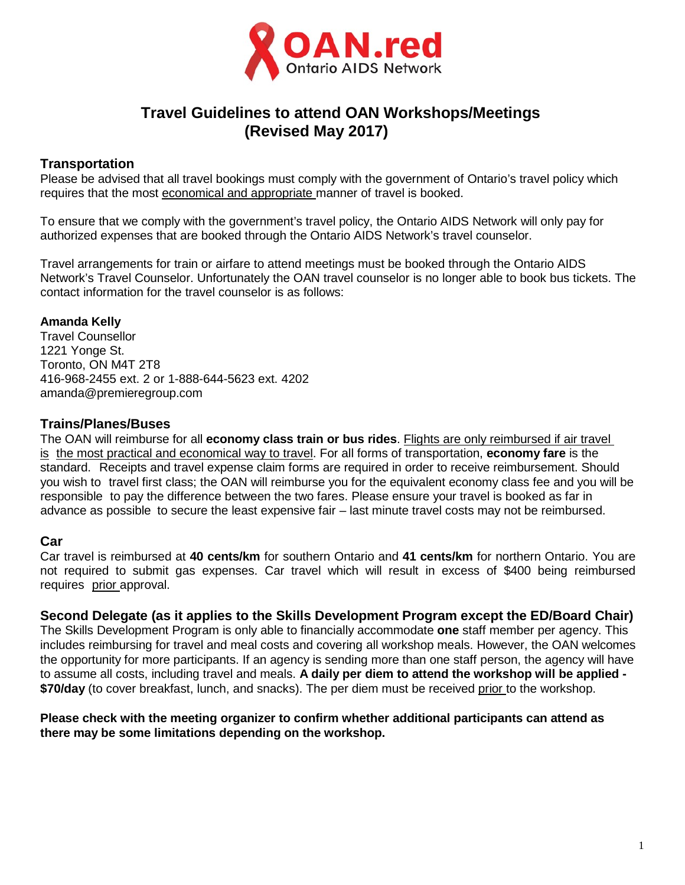

# **Travel Guidelines to attend OAN Workshops/Meetings (Revised May 2017)**

### **Transportation**

Please be advised that all travel bookings must comply with the government of Ontario's travel policy which requires that the most economical and appropriate manner of travel is booked.

To ensure that we comply with the government's travel policy, the Ontario AIDS Network will only pay for authorized expenses that are booked through the Ontario AIDS Network's travel counselor.

Travel arrangements for train or airfare to attend meetings must be booked through the Ontario AIDS Network's Travel Counselor. Unfortunately the OAN travel counselor is no longer able to book bus tickets. The contact information for the travel counselor is as follows:

## **Amanda Kelly**

Travel Counsellor 1221 Yonge St. Toronto, ON M4T 2T8 416-968-2455 ext. 2 or 1-888-644-5623 ext. 4202 [amanda@premieregroup.com](mailto:amanda@premieregroup.com)

### **Trains/Planes/Buses**

The OAN will reimburse for all **economy class train or bus rides**. Flights are only reimbursed if air travel is the most practical and economical way to travel. For all forms of transportation, **economy fare** is the standard. Receipts and travel expense claim forms are required in order to receive reimbursement. Should you wish to travel first class; the OAN will reimburse you for the equivalent economy class fee and you will be responsible to pay the difference between the two fares. Please ensure your travel is booked as far in advance as possible to secure the least expensive fair – last minute travel costs may not be reimbursed.

## **Car**

Car travel is reimbursed at **40 cents/km** for southern Ontario and **41 cents/km** for northern Ontario. You are not required to submit gas expenses. Car travel which will result in excess of \$400 being reimbursed requires prior approval.

**Second Delegate (as it applies to the Skills Development Program except the ED/Board Chair)**

The Skills Development Program is only able to financially accommodate **one** staff member per agency. This includes reimbursing for travel and meal costs and covering all workshop meals. However, the OAN welcomes the opportunity for more participants. If an agency is sending more than one staff person, the agency will have to assume all costs, including travel and meals. **A daily per diem to attend the workshop will be applied - \$70/day** (to cover breakfast, lunch, and snacks). The per diem must be received prior to the workshop.

#### **Please check with the meeting organizer to confirm whether additional participants can attend as there may be some limitations depending on the workshop.**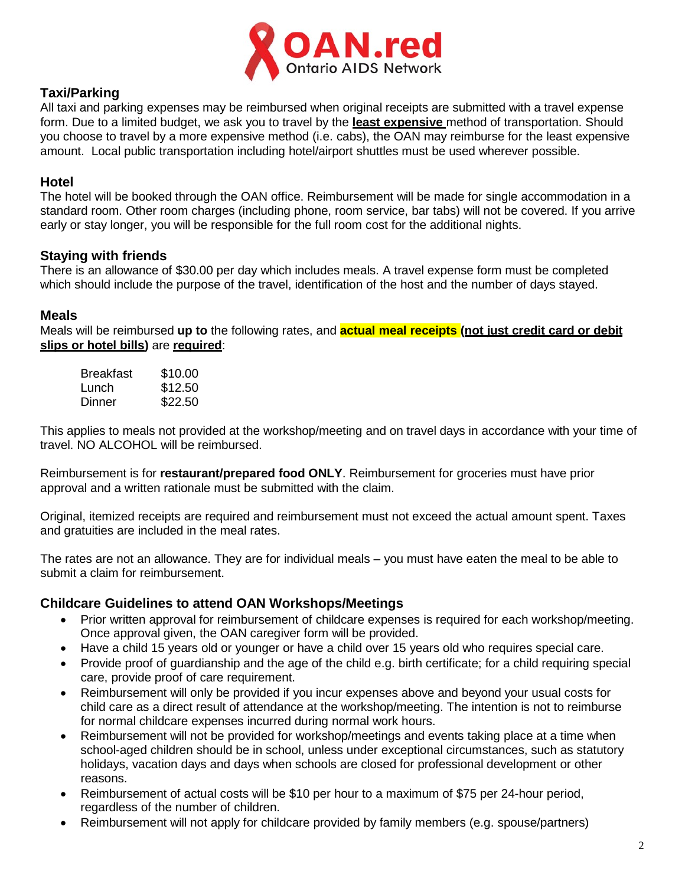

## **Taxi/Parking**

All taxi and parking expenses may be reimbursed when original receipts are submitted with a travel expense form. Due to a limited budget, we ask you to travel by the **least expensive** method of transportation. Should you choose to travel by a more expensive method (i.e. cabs), the OAN may reimburse for the least expensive amount. Local public transportation including hotel/airport shuttles must be used wherever possible.

#### **Hotel**

The hotel will be booked through the OAN office. Reimbursement will be made for single accommodation in a standard room. Other room charges (including phone, room service, bar tabs) will not be covered. If you arrive early or stay longer, you will be responsible for the full room cost for the additional nights.

#### **Staying with friends**

There is an allowance of \$30.00 per day which includes meals. A travel expense form must be completed which should include the purpose of the travel, identification of the host and the number of days stayed.

#### **Meals**

Meals will be reimbursed **up to** the following rates, and **actual meal receipts (not just credit card or debit slips or hotel bills)** are **required**:

| Breakfast | \$10.00 |
|-----------|---------|
| Lunch     | \$12.50 |
| Dinner    | \$22.50 |

This applies to meals not provided at the workshop/meeting and on travel days in accordance with your time of travel. NO ALCOHOL will be reimbursed.

Reimbursement is for **restaurant/prepared food ONLY**. Reimbursement for groceries must have prior approval and a written rationale must be submitted with the claim.

Original, itemized receipts are required and reimbursement must not exceed the actual amount spent. Taxes and gratuities are included in the meal rates.

The rates are not an allowance. They are for individual meals – you must have eaten the meal to be able to submit a claim for reimbursement.

### **Childcare Guidelines to attend OAN Workshops/Meetings**

- Prior written approval for reimbursement of childcare expenses is required for each workshop/meeting. Once approval given, the OAN caregiver form will be provided.
- Have a child 15 years old or younger or have a child over 15 years old who requires special care.
- Provide proof of guardianship and the age of the child e.g. birth certificate; for a child requiring special care, provide proof of care requirement.
- Reimbursement will only be provided if you incur expenses above and beyond your usual costs for child care as a direct result of attendance at the workshop/meeting. The intention is not to reimburse for normal childcare expenses incurred during normal work hours.
- Reimbursement will not be provided for workshop/meetings and events taking place at a time when school-aged children should be in school, unless under exceptional circumstances, such as statutory holidays, vacation days and days when schools are closed for professional development or other reasons.
- Reimbursement of actual costs will be \$10 per hour to a maximum of \$75 per 24-hour period, regardless of the number of children.
- Reimbursement will not apply for childcare provided by family members (e.g. spouse/partners)